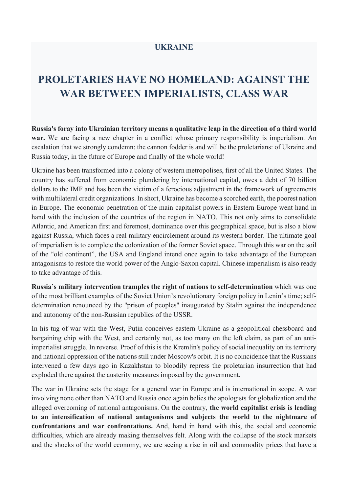## **UKRAINE**

## **PROLETARIES HAVE NO HOMELAND: AGAINST THE WAR BETWEEN IMPERIALISTS, CLASS WAR**

**Russia's foray into Ukrainian territory means a qualitative leap in the direction of a third world war.** We are facing a new chapter in a conflict whose primary responsibility is imperialism. An escalation that we strongly condemn: the cannon fodder is and will be the proletarians: of Ukraine and Russia today, in the future of Europe and finally of the whole world!

Ukraine has been transformed into a colony of western metropolises, first of all the United States. The country has suffered from economic plundering by international capital, owes a debt of 70 billion dollars to the IMF and has been the victim of a ferocious adjustment in the framework of agreements with multilateral credit organizations. In short, Ukraine has become a scorched earth, the poorest nation in Europe. The economic penetration of the main capitalist powers in Eastern Europe went hand in hand with the inclusion of the countries of the region in NATO. This not only aims to consolidate Atlantic, and American first and foremost, dominance over this geographical space, but is also a blow against Russia, which faces a real military encirclement around its western border. The ultimate goal of imperialism is to complete the colonization of the former Soviet space. Through this war on the soil of the "old continent", the USA and England intend once again to take advantage of the European antagonisms to restore the world power of the Anglo-Saxon capital. Chinese imperialism is also ready to take advantage of this.

**Russia's military intervention tramples the right of nations to self-determination** which was one of the most brilliant examples of the Soviet Union's revolutionary foreign policy in Lenin's time; selfdetermination renounced by the "prison of peoples" inaugurated by Stalin against the independence and autonomy of the non-Russian republics of the USSR.

In his tug-of-war with the West, Putin conceives eastern Ukraine as a geopolitical chessboard and bargaining chip with the West, and certainly not, as too many on the left claim, as part of an antiimperialist struggle. In reverse. Proof of this is the Kremlin's policy of social inequality on its territory and national oppression of the nations still under Moscow's orbit. It is no coincidence that the Russians intervened a few days ago in Kazakhstan to bloodily repress the proletarian insurrection that had exploded there against the austerity measures imposed by the government.

The war in Ukraine sets the stage for a general war in Europe and is international in scope. A war involving none other than NATO and Russia once again belies the apologists for globalization and the alleged overcoming of national antagonisms. On the contrary, **the world capitalist crisis is leading to an intensification of national antagonisms and subjects the world to the nightmare of confrontations and war confrontations.** And, hand in hand with this, the social and economic difficulties, which are already making themselves felt. Along with the collapse of the stock markets and the shocks of the world economy, we are seeing a rise in oil and commodity prices that have a